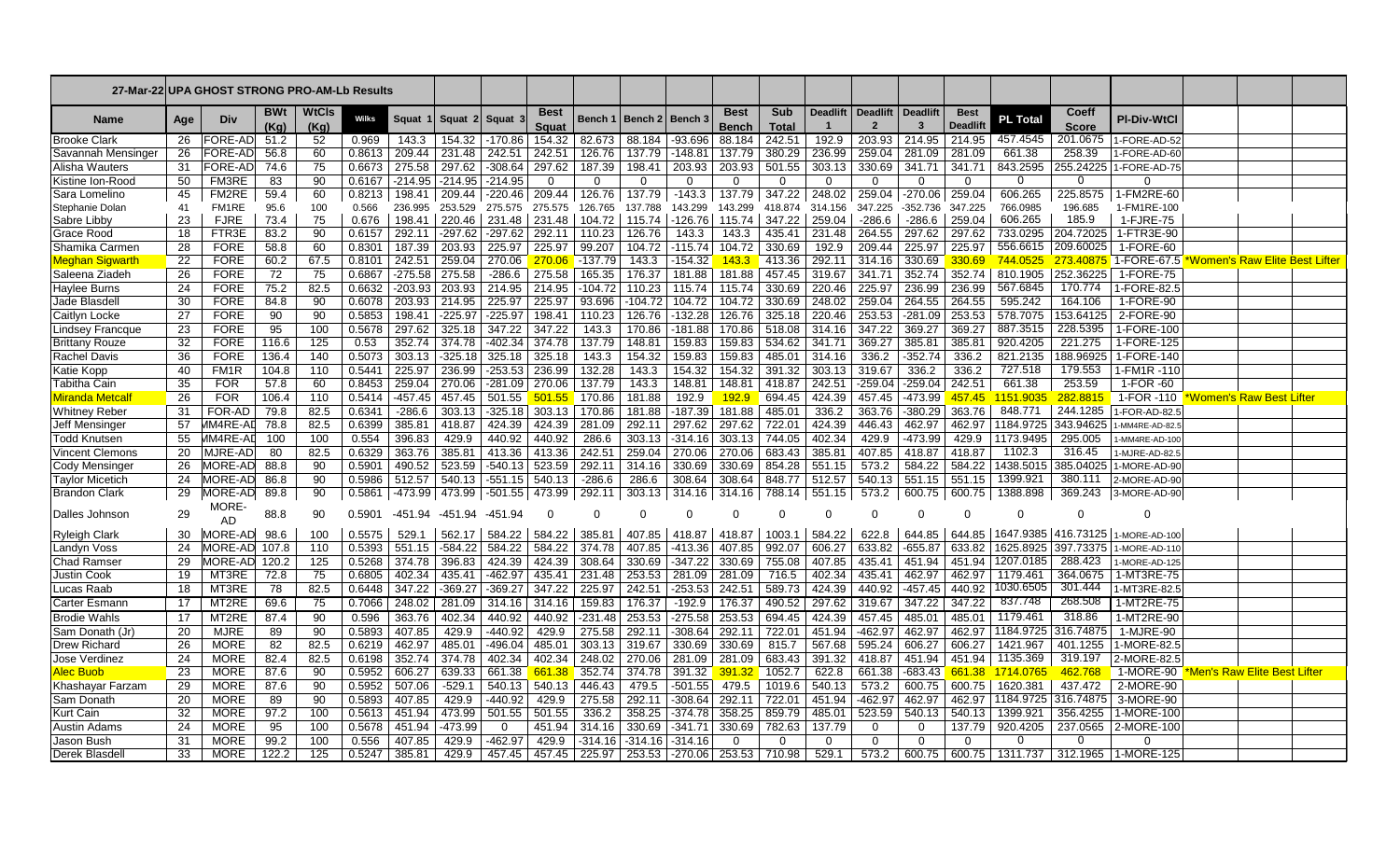| 27-Mar-22                |     | UPA GHOST STRONG PRO-AM-Lb Results |                   |               |        |           |                     |                                                      |                             |                |           |             |                             |                          |                 |                       |                           |                                |                     |                       |                                            |                                      |  |
|--------------------------|-----|------------------------------------|-------------------|---------------|--------|-----------|---------------------|------------------------------------------------------|-----------------------------|----------------|-----------|-------------|-----------------------------|--------------------------|-----------------|-----------------------|---------------------------|--------------------------------|---------------------|-----------------------|--------------------------------------------|--------------------------------------|--|
| <b>Name</b>              | Age | Div                                | <b>BWt</b><br>(Ka | WtCls<br>(Kg) | Wilks  | Squat     | Squat 2             | Squat                                                | <b>Best</b><br>Squat        | <b>Bench 1</b> | Bench 2   | ∣ Bench 3   | <b>Best</b><br><b>Bench</b> | Sub<br><b>Total</b>      | <b>Deadlift</b> | <b>Deadlift</b><br>-2 | <b>Deadlift</b>           | <b>Best</b><br><b>Deadlift</b> | PL To <u>ta</u> l   | Coeff<br><b>Score</b> | <b>PI-Div-WtCl</b>                         |                                      |  |
| <b>Brooke Clark</b>      | 26  | FORE-AD                            | 51.2              | 52            | 0.969  | 143.3     | 154.32              | $-170.86$                                            | 154.32                      | 82.673         | 88.184    | $-93.696$   | 88.184                      | 242.51                   | 192.9           | 203.93                | 214.95                    | 214.95                         | 457.4545            |                       | 201.0675 1-FORE-AD-52                      |                                      |  |
| Savannah Mensinger       | 26  | FORE-AD                            | 56.8              | 60            | 0.8613 |           | 209.44 231.48       | 242.51 242.51                                        |                             | 126.76         | 137.79    | $-148.81$   | 137.79                      | 380.29                   | 236.99          | 259.04                | 281.09                    | 281.09                         | 661.38              | 258.39                | 1-FORE-AD-60                               |                                      |  |
| Alisha Wauters           | -31 | FORE-AD                            | 74.6              | 75            | 0.6673 |           | 275.58 297.62       |                                                      | $-308.64$   297.62          | 187.39         | 198.41    | 203.93      | 203.93                      | 501.55                   | 303.13          | 330.69                | 341.71                    | 341.71                         | 843.2595            |                       | 255.24225 1-FORE-AD-75                     |                                      |  |
| Kistine Ion-Rood         | 50  | FM3RE                              | 83                | 90            | 0.6167 |           | $-214.95$ $-214.95$ | $-214.95$                                            | $\Omega$                    | $\Omega$       | $\Omega$  | $\mathbf 0$ | $\Omega$                    | $\Omega$                 | O               | $\Omega$              | $\Omega$                  | $\Omega$                       | $\Omega$            | 0                     |                                            |                                      |  |
| Sara Lomelino            | 45  | FM2RE                              | 59.4              | 60            | 0.8213 |           |                     | 198.41   209.44   -220.46   209.44   126.76   137.79 |                             |                |           | $-143.3$    |                             | 137.79 347.22 248.02     |                 |                       | 259.04   -270.06   259.04 |                                | 606.265             | 225.8575              | 1-FM2RE-60                                 |                                      |  |
| Stephanie Dolan          | 41  | FM1RE                              | 95.6              | 100           | 0.566  | 236.995   | 253.529             | 275.575                                              | 275.575                     | 126.765        | 137.788   | 143.299     | 143.299                     | 418.874                  | 314.156         | 347.225               | $-352.736$                | 347.225                        | 766.0985            | 196.685               | 1-FM1RE-100                                |                                      |  |
| Sabre Libby              | 23  | <b>FJRE</b>                        | 73.4              | 75            | 0.676  | 198.41    | 220.46              |                                                      | 231.48 231.48               | 104.72         | 115.74    | -126.76     | 115.74                      | 347.22                   | 259.04          | -286.6                | -286.6                    | 259.04                         | 606.265             | 185.9                 | 1-FJRE-75                                  |                                      |  |
| Grace Rood               | 18  | FTR3E                              | 83.2              | 90            | 0.6157 | 292.11    | $-297.62$           | $-297.62$ 292.11                                     |                             | 110.23         | 126.76    | 143.3       | 143.3                       | 435.41                   | 231.48          | 264.55                | 297.62                    | 297.62                         | 733.0295            |                       | 204.72025 1-FTR3E-90                       |                                      |  |
| Shamika Carmer           | 28  | <b>FORE</b>                        | 58.8              | 60            | 0.8301 | 187.39    | 203.93              | 225.97                                               | 225.97                      | 99.207         | 104.72    | $-115.74$   | 104.72                      | 330.69                   | 192.9           | 209.44                | 225.97                    | 225.97                         |                     | 556.6615   209.60025  | 1-FORE-60                                  |                                      |  |
| <u> ⁄leghan Sigwarth</u> | 22  | <b>FORE</b>                        | 60.2              | 67.5          | 0.8101 | 242.51    | 259.04              | 270.06                                               | 270.06                      | $-137.79$      | 143.3     | $-154.32$   | 143.3                       | 413.36                   | 292.11          | 314.16                | 330.69                    | 330.69                         | 744.0525            |                       | 273.40875 1-FORE-67.5                      | <u>Vomen's Raw Elite Best Lifter</u> |  |
| Saleena Ziadeh           | 26  | <b>FORE</b>                        | 72                | 75            | 0.6867 | $-275.58$ | 275.58              | $-286.6$                                             | 275.58                      | 165.35         | 176.37    | 181.88      | 181.88                      | 457.45                   | 319.67          | 341.71                | 352.74                    | 352.74                         | 810.1905            | 252.36225             | 1-FORE-75                                  |                                      |  |
| <b>Haylee Burns</b>      | 24  | <b>FORE</b>                        | 75.2              | 82.5          | 0.6632 |           | $-203.93$ 203.93    |                                                      | 214.95 214.95               | $-104.72$      | 110.23    | 115.74      | 115.74                      | 330.69                   | 220.46          | 225.97                | 236.99                    | 236.99                         | 567.6845            | 170.774               | 1-FORE-82.5                                |                                      |  |
| Jade Blasdell            | 30  | <b>FORE</b>                        | 84.8              | 90            | 0.6078 | 203.93    | 214.95              | 225.97                                               | 225.97                      | 93.696         | -104.72   | 104.72      | 104.72                      | 330.69                   | 248.02          | 259.04                | 264.55                    | 264.55                         | 595.242             | 164.106               | 1-FORE-90                                  |                                      |  |
| <b>Caitlyn Locke</b>     | 27  | <b>FORE</b>                        | 90                | 90            | 0.5853 | 198.41    | $-225.97$           | $-225.97$                                            | 198.41                      | 110.23         | 126.76    | $-132.28$   | 126.76                      | 325.18                   | 220.46          | 253.53                | $-281.09$                 | 253.53                         | 578.7075            | 153.64125             | 2-FORE-90                                  |                                      |  |
| <b>Lindsey Francque</b>  | 23  | <b>FORE</b>                        | 95                | 100           | 0.5678 | 297.62    | 325.18              |                                                      | 347.22 347.22               | 143.3          | 170.86    | $-181.88$   | 170.86                      | 518.08                   | 314.16          | 347.22                | 369.27                    | 369.27                         | 887.3515            |                       | 228.5395   1-FORE-100                      |                                      |  |
| <b>Brittany Rouze</b>    | 32  | FORE                               | 116.6             | 125           | 0.53   |           |                     | 352.74 374.78 - 402.34 374.78                        |                             | 137.79         | 148.81    | 159.83      | 159.83                      | 534.62                   | 341.71          | 369.27                | 385.81                    | 385.81                         | 920.4205            | 221.275               | 1-FORE-125                                 |                                      |  |
| <b>Rachel Davis</b>      | 36  | <b>FORE</b>                        | 136.4             | 140           | 0.5073 | 303.13    | $-325.18$           |                                                      | 325.18 325.18               | 143.3          | 154.32    | 159.83      | 159.83                      | 485.01                   | 314.16          | 336.2                 | $-352.74$                 | 336.2                          | 821.2135            |                       | 188.96925 1-FORE-140                       |                                      |  |
| Katie Kopp               | 40  | FM <sub>1</sub> R                  | 104.8             | 110           | 0.5441 | 225.97    | 236.99              | $-253.53$                                            | 236.99                      | 132.28         | 143.3     | 154.32      | 154.32                      | 391.32                   | 303.13          | 319.67                | 336.2                     | 336.2                          | 727.518             | 179.553               | 1-FM1R-110                                 |                                      |  |
| Tabitha Cain             | 35  | <b>FOR</b>                         | 57.8              | 60            | 0.8453 |           | 259.04 270.06       |                                                      | $-281.09$ 270.06            | 137.79         | 143.3     | 148.81      | 148.81                      | 418.87                   | 242.51          | $-259.04$             | $-259.04$                 | 242.51                         | 661.38              | 253.59                | 1-FOR -60                                  |                                      |  |
| <b>Airanda Metcalf</b>   | 26  | <b>FOR</b>                         | 106.4             | 110           | 0.5414 | $-457.45$ | 457.45              | 501.55                                               | 501.55                      | 170.86         | 181.88    | 192.9       | 192.9                       | 694.45                   | 424.39          | 457.45                | $-473.99$                 | 457.45                         | 1151.9035           | 282.8815              | 1-FOR -110                                 | <u>Vomen's Raw Best Lifter</u>       |  |
| <b>Whitney Reber</b>     | 31  | FOR-AD                             | 79.8              | 82.5          | 0.6341 | $-286.6$  | 303.13              |                                                      | $-325.18$ 303.13            | 170.86         | 181.88    | $-187.39$   | 181.88                      | 485.01                   | 336.2           | 363.76                | $-380.29$                 | 363.76                         | 848.771             | 244.1285              | 1-FOR-AD-82.5                              |                                      |  |
| Jeff Mensinger           | 57  | /IM4RE-AD                          | 78.8              | 82.5          | 0.6399 | 385.81    | 418.87              | 424.39                                               | 424.39                      | 281.09         | 292.11    | 297.62      | 297.62                      | 722.01                   | 424.39          | 446.43                | 462.97                    | 462.97                         | 1184.9725           | 343.94625             | 1-MM4RE-AD-82.5                            |                                      |  |
| <b>Todd Knutsen</b>      | 55  | //M4RE-AL                          | 100               | 100           | 0.554  | 396.83    | 429.9               | 440.92                                               | 440.92                      | 286.6          | 303.13    | $-314.16$   | 303.13                      | 744.05                   | 402.34          | 429.9                 | -473.99                   | 429.9                          | 1173.9495           | 295.005               | 1-MM4RE-AD-100                             |                                      |  |
| <b>Vincent Clemons</b>   | 20  | MJRE-AD                            | 80                | 82.5          | 0.6329 | 363.76    | 385.81              |                                                      | 413.36 413.36               | 242.51         | 259.04    | 270.06      | 270.06                      | 683.43                   | 385.81          | 407.85                | 418.87                    | 418.87                         | 1102.3              | 316.45                | 1-MJRE-AD-82.5                             |                                      |  |
| Cody Mensinger           | 26  | MORE-AD                            | 88.8              | 90            | 0.5901 | 490.52    | 523.59              |                                                      | $-540.13$ 523.59            | 292.11         | 314.16    | 330.69      | 330.69                      | 854.28                   | 551.15          | 573.2                 | 584.22                    | 584.22                         | 1438.5015           | 385.04025             | 1-MORE-AD-90                               |                                      |  |
| <b>Taylor Micetich</b>   | 24  | MORE-AD                            | 86.8              | 90            | 0.5986 | 512.57    | 540.13              |                                                      | $-551.15$ 540.13            | $-286.6$       | 286.6     | 308.64      | 308.64                      | 848.77                   | 512.57          | 540.13                | 551.15                    | 551.15                         | 1399.921            | 380.111               | 2-MORE-AD-90                               |                                      |  |
| <b>Brandon Clark</b>     | -29 | MORE-ADI<br>MORE-                  | 89.8              | 90            | 0.5861 |           | -473.99 473.99      |                                                      | $-501.55$   473.99   292.11 |                | 303.13    | 314.16      |                             | 314.16   788.14   551.15 |                 | 573.2                 |                           | 600.75   600.75                | 1388.898            | 369.243               | 3-MORE-AD-90                               |                                      |  |
| <b>I</b> Dalles Johnsor  | 29  | AD                                 | 88.8              | 90            | 0.5901 |           |                     | -451.94 -451.94 -451.94                              | $\Omega$                    |                | $\Omega$  | $\Omega$    | C                           |                          | 0               | $\Omega$              | 0                         |                                | ∩                   | $\Omega$              |                                            |                                      |  |
| Ryleigh Clark            | 30  | MORE-AD                            | 98.6              | 100           | 0.5575 | 529.1     | 562.17              | 584.22                                               | 584.22                      | 385.81         | 407.85    | 418.87      | 418.87                      | 1003.1                   | 584.22          | 622.8                 | 644.85                    | 644.85                         |                     |                       | 1647.9385 416.73125 1-MORE-AD-100          |                                      |  |
| Landyn Voss              | 24  | MORE-AD 107.8                      |                   | 110           | 0.5393 | 551.15    | $-584.22$           | 584.22                                               | 584.22                      | 374.78         | 407.85    | $-413.36$   | 407.85                      | 992.07                   | 606.27          | 633.82                | $-655.87$                 | 633.82                         | 1625.8925 397.73375 |                       | 1-MORE-AD-110                              |                                      |  |
| Chad Ramser              | 29  | MORE-AD 120.2                      |                   | 125           | 0.5268 | 374.78    | 396.83              | 424.39                                               | 424.39                      | 308.64         | 330.69    | $-347.22$   | 330.69                      | 755.08                   | 407.85          | 435.41                | 451.94                    | 451.94                         | 1207.0185           | 288.423               | 1-MORE-AD-125                              |                                      |  |
| Justin Cook              | 19  | MT3RE                              | 72.8              | 75            | 0.6805 | 402.34    | 435.41              |                                                      | $-462.97$ 435.41            | 231.48         | 253.53    | 281.09      | 281.09                      | 716.5                    | 402.34          | 435.41                | 462.97                    | 462.97                         | 1179.461            |                       | 364.0675   1-MT3RE-75                      |                                      |  |
| ucas Raab.               | 18  | MT3RE                              | 78                | 82.5          | 0.6448 | 347.22    | $-369.27$           |                                                      | $-369.27$ 347.22            | 225.97         | 242.51    | $-253.53$   | 242.51                      | 589.73                   | 424.39          | 440.92                | $-457.45$                 | 440.92                         | 1030.6505           |                       | 301.444 1-MT3RE-82.5                       |                                      |  |
| Carter Esmann            | 17  | MT2RE                              | 69.6              | 75            | 0.7066 |           | 248.02 281.09       |                                                      | 314.16 314.16               | 159.83         | 176.37    | $-192.9$    | 176.37                      | 490.52                   | 297.62          | 319.67                | 347.22                    | 347.22                         | 837.748             | 268.508               | 1-MT2RE-75                                 |                                      |  |
| <b>Brodie Wahls</b>      | 17  | MT2RE                              | 87.4              | 90            | 0.596  | 363.76    | 402.34              | 440.92                                               | 440.92                      | -231.48        | 253.53    | $-275.58$   | 253.53                      | 694.45                   | 424.39          | 457.45                | 485.01                    | 485.01                         | 1179.461            | 318.86                | 1-MT2RE-90                                 |                                      |  |
| Sam Donath (Jr           | 20  | <b>MJRE</b>                        | 89                | 90            | 0.5893 | 407.85    | 429.9               | $-440.92$                                            | 429.9                       | 275.58         | 292.11    | $-308.64$   | 292.11                      | 722.01                   | 451.94          | -462.97               | 462.97                    | 462.97                         |                     | 1184.9725 316.74875   | 1-MJRE-90                                  |                                      |  |
| <b>Drew Richard</b>      | 26  | <b>MORE</b>                        | 82                | 82.5          | 0.6219 | 462.97    | 485.01              | $-496.04$                                            | 485.01                      | 303.13         | 319.67    | 330.69      | 330.69                      | 815.7                    | 567.68          | 595.24                | 606.27                    | 606.27                         | 1421.967            | 401.1255              | 1-MORE-82.5                                |                                      |  |
| Jose Verdinez            | 24  | <b>MORE</b>                        | 82.4              | 82.5          | 0.6198 | 352.74    | 374.78              | 402.34                                               | 402.34                      | 248.02         | 270.06    | 281.09      | 281.09                      | 683.43                   | 391.32          | 418.87                | 451.94                    | 451.94                         | 1135.369            | 319.197               | 2-MORE-82.5                                |                                      |  |
| <mark>Nec Buob</mark>    | 23  | <b>MORE</b>                        | 87.6              | 90            | 0.5952 | 606.27    | 639.33              | 661.38                                               | 661.38                      | 352.74         | 374.78    | 391.32      | 391.32                      | 1052.7                   | 622.8           | 661.38                | $-683.43$                 | 661.38                         | 1714.0765           | 462.768               | 1-MORE-90                                  | <u>len's Raw Elite Best Lifter</u>   |  |
| Khashayar Farzam         | 29  | <b>MORE</b>                        | 87.6              | 90            | 0.5952 | 507.06    | $-529.1$            |                                                      | 540.13 540.13               | 446.43         | 479.5     | $-501.55$   | 479.5                       | 1019.6                   | 540.13          | 573.2                 | 600.75                    | 600.75                         | 1620.381            | 437.472               | 2-MORE-90                                  |                                      |  |
| Sam Donath               | 20  | <b>MORE</b>                        | 89                | 90            | 0.5893 | 407.85    | 429.9               | $-440.92$                                            | 429.9                       | 275.58         | 292.11    | $-308.64$   | 292.11                      | 722.01                   | 451.94          | $-462.97$             | 462.97                    |                                |                     |                       | 462.97   1184.9725   316.74875   3-MORE-90 |                                      |  |
| <b>Kurt Cain</b>         | 32  | <b>MORE</b>                        | 97.2              | 100           | 0.5613 | 451.94    | 473.99              |                                                      | $501.55$ 501.55             | 336.2          | 358.25    | $-374.78$   | 358.25                      | 859.79                   | 485.01          | 523.59                | 540.13                    | 540.13                         | 1399.921            |                       | 356.4255   1-MORE-100                      |                                      |  |
| <b>Austin Adams</b>      | 24  | MORE                               | 95                | 100           | 0.5678 |           | 451.94 -473.99      | $\overline{0}$                                       | 451.94                      | 314.16         | 330.69    | $-341.71$   | 330.69                      | 782.63                   | 137.79          | 0                     | $\Omega$                  | 137.79                         | 920.4205            |                       | 237.0565 2-MORE-100                        |                                      |  |
| Jason Bush               | 31  | <b>MORE</b>                        | 99.2              | 100           | 0.556  | 407.85    | 429.9               | $-462.97$                                            | 429.9                       | $-314.16$      | $-314.16$ | $-314.16$   | 0                           |                          | O               | $\Omega$              | $\Omega$                  | $\Omega$                       |                     |                       |                                            |                                      |  |
| Derek Blasdel            | 33  | MORE                               | 122.2             | 125           | 0.5247 | 385.81    | 429.9               |                                                      | 457.45   457.45             | 225.97         | 253.53    | $-270.06$   |                             | 253.53 710.98            | 529.1           | 573.2                 | 600.75                    | 600.75                         | 1311.737            |                       | 312.1965 1-MORE-125                        |                                      |  |